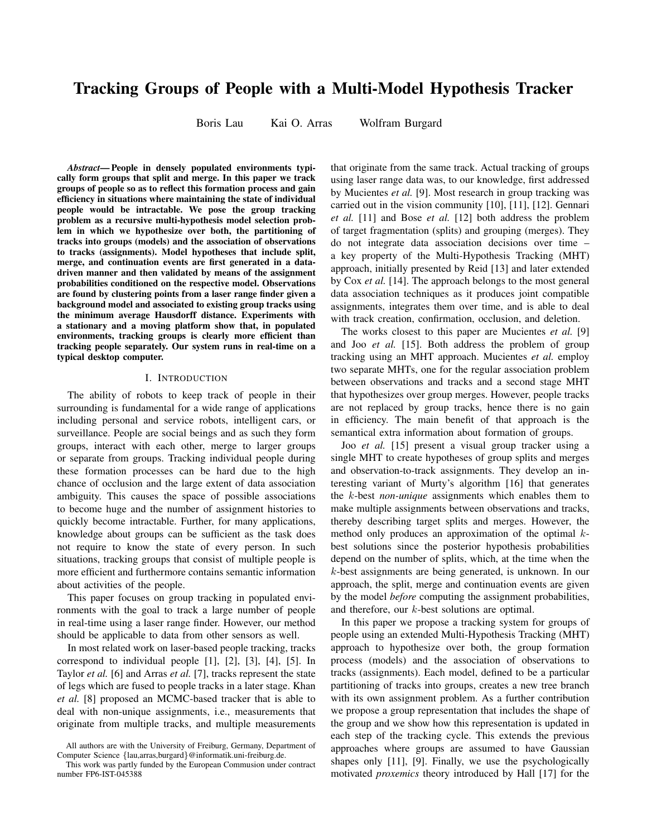# Tracking Groups of People with a Multi-Model Hypothesis Tracker

Boris Lau Kai O. Arras Wolfram Burgard

*Abstract*— People in densely populated environments typically form groups that split and merge. In this paper we track groups of people so as to reflect this formation process and gain efficiency in situations where maintaining the state of individual people would be intractable. We pose the group tracking problem as a recursive multi-hypothesis model selection problem in which we hypothesize over both, the partitioning of tracks into groups (models) and the association of observations to tracks (assignments). Model hypotheses that include split, merge, and continuation events are first generated in a datadriven manner and then validated by means of the assignment probabilities conditioned on the respective model. Observations are found by clustering points from a laser range finder given a background model and associated to existing group tracks using the minimum average Hausdorff distance. Experiments with a stationary and a moving platform show that, in populated environments, tracking groups is clearly more efficient than tracking people separately. Our system runs in real-time on a typical desktop computer.

# I. INTRODUCTION

The ability of robots to keep track of people in their surrounding is fundamental for a wide range of applications including personal and service robots, intelligent cars, or surveillance. People are social beings and as such they form groups, interact with each other, merge to larger groups or separate from groups. Tracking individual people during these formation processes can be hard due to the high chance of occlusion and the large extent of data association ambiguity. This causes the space of possible associations to become huge and the number of assignment histories to quickly become intractable. Further, for many applications, knowledge about groups can be sufficient as the task does not require to know the state of every person. In such situations, tracking groups that consist of multiple people is more efficient and furthermore contains semantic information about activities of the people.

This paper focuses on group tracking in populated environments with the goal to track a large number of people in real-time using a laser range finder. However, our method should be applicable to data from other sensors as well.

In most related work on laser-based people tracking, tracks correspond to individual people [1], [2], [3], [4], [5]. In Taylor *et al.* [6] and Arras *et al.* [7], tracks represent the state of legs which are fused to people tracks in a later stage. Khan *et al.* [8] proposed an MCMC-based tracker that is able to deal with non-unique assignments, i.e., measurements that originate from multiple tracks, and multiple measurements

that originate from the same track. Actual tracking of groups using laser range data was, to our knowledge, first addressed by Mucientes *et al.* [9]. Most research in group tracking was carried out in the vision community [10], [11], [12]. Gennari *et al.* [11] and Bose *et al.* [12] both address the problem of target fragmentation (splits) and grouping (merges). They do not integrate data association decisions over time – a key property of the Multi-Hypothesis Tracking (MHT) approach, initially presented by Reid [13] and later extended by Cox *et al.* [14]. The approach belongs to the most general data association techniques as it produces joint compatible assignments, integrates them over time, and is able to deal with track creation, confirmation, occlusion, and deletion.

The works closest to this paper are Mucientes *et al.* [9] and Joo *et al.* [15]. Both address the problem of group tracking using an MHT approach. Mucientes *et al.* employ two separate MHTs, one for the regular association problem between observations and tracks and a second stage MHT that hypothesizes over group merges. However, people tracks are not replaced by group tracks, hence there is no gain in efficiency. The main benefit of that approach is the semantical extra information about formation of groups.

Joo *et al.* [15] present a visual group tracker using a single MHT to create hypotheses of group splits and merges and observation-to-track assignments. They develop an interesting variant of Murty's algorithm [16] that generates the k-best *non-unique* assignments which enables them to make multiple assignments between observations and tracks, thereby describing target splits and merges. However, the method only produces an approximation of the optimal kbest solutions since the posterior hypothesis probabilities depend on the number of splits, which, at the time when the k-best assignments are being generated, is unknown. In our approach, the split, merge and continuation events are given by the model *before* computing the assignment probabilities, and therefore, our k-best solutions are optimal.

In this paper we propose a tracking system for groups of people using an extended Multi-Hypothesis Tracking (MHT) approach to hypothesize over both, the group formation process (models) and the association of observations to tracks (assignments). Each model, defined to be a particular partitioning of tracks into groups, creates a new tree branch with its own assignment problem. As a further contribution we propose a group representation that includes the shape of the group and we show how this representation is updated in each step of the tracking cycle. This extends the previous approaches where groups are assumed to have Gaussian shapes only [11], [9]. Finally, we use the psychologically motivated *proxemics* theory introduced by Hall [17] for the

All authors are with the University of Freiburg, Germany, Department of Computer Science {lau,arras,burgard}@informatik.uni-freiburg.de.

This work was partly funded by the European Commusion under contract number FP6-IST-045388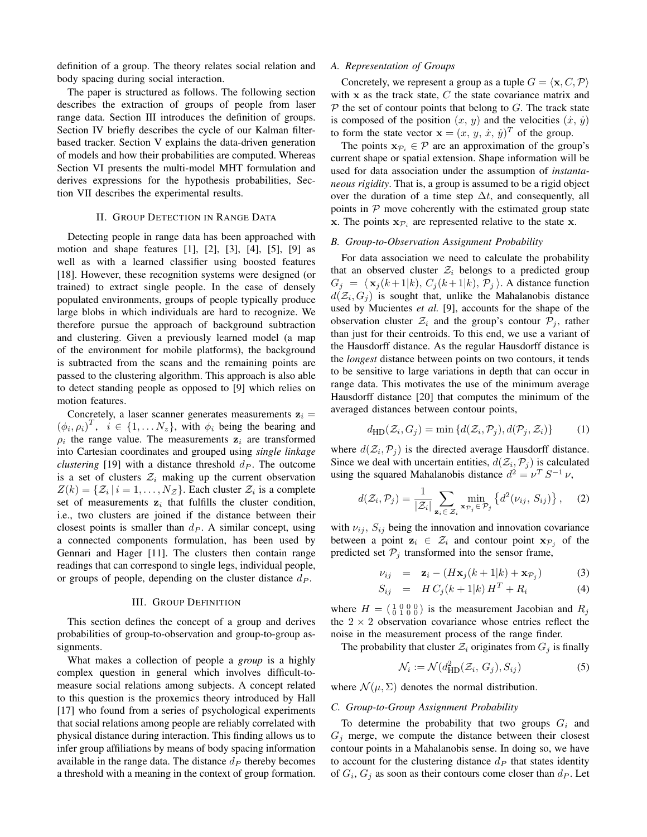definition of a group. The theory relates social relation and body spacing during social interaction.

The paper is structured as follows. The following section describes the extraction of groups of people from laser range data. Section III introduces the definition of groups. Section IV briefly describes the cycle of our Kalman filterbased tracker. Section V explains the data-driven generation of models and how their probabilities are computed. Whereas Section VI presents the multi-model MHT formulation and derives expressions for the hypothesis probabilities, Section VII describes the experimental results.

# II. GROUP DETECTION IN RANGE DATA

Detecting people in range data has been approached with motion and shape features [1], [2], [3], [4], [5], [9] as well as with a learned classifier using boosted features [18]. However, these recognition systems were designed (or trained) to extract single people. In the case of densely populated environments, groups of people typically produce large blobs in which individuals are hard to recognize. We therefore pursue the approach of background subtraction and clustering. Given a previously learned model (a map of the environment for mobile platforms), the background is subtracted from the scans and the remaining points are passed to the clustering algorithm. This approach is also able to detect standing people as opposed to [9] which relies on motion features.

Concretely, a laser scanner generates measurements  $z_i =$  $(\phi_i, \rho_i)^T$ ,  $i \in \{1, ..., N_z\}$ , with  $\phi_i$  being the bearing and  $\rho_i$  the range value. The measurements  $z_i$  are transformed into Cartesian coordinates and grouped using *single linkage clustering* [19] with a distance threshold  $d<sub>P</sub>$ . The outcome is a set of clusters  $\mathcal{Z}_i$  making up the current observation  $Z(k) = \{Z_i | i = 1, \ldots, N_Z\}$ . Each cluster  $Z_i$  is a complete set of measurements  $z_i$  that fulfills the cluster condition, i.e., two clusters are joined if the distance between their closest points is smaller than  $d<sub>P</sub>$ . A similar concept, using a connected components formulation, has been used by Gennari and Hager [11]. The clusters then contain range readings that can correspond to single legs, individual people, or groups of people, depending on the cluster distance  $d<sub>P</sub>$ .

#### III. GROUP DEFINITION

This section defines the concept of a group and derives probabilities of group-to-observation and group-to-group assignments.

What makes a collection of people a *group* is a highly complex question in general which involves difficult-tomeasure social relations among subjects. A concept related to this question is the proxemics theory introduced by Hall [17] who found from a series of psychological experiments that social relations among people are reliably correlated with physical distance during interaction. This finding allows us to infer group affiliations by means of body spacing information available in the range data. The distance  $d<sub>P</sub>$  thereby becomes a threshold with a meaning in the context of group formation.

### *A. Representation of Groups*

Concretely, we represent a group as a tuple  $G = \langle \mathbf{x}, C, \mathcal{P} \rangle$ with  $x$  as the track state,  $C$  the state covariance matrix and  $\mathcal P$  the set of contour points that belong to  $G$ . The track state is composed of the position  $(x, y)$  and the velocities  $(\dot{x}, \dot{y})$ to form the state vector  $\mathbf{x} = (x, y, \dot{x}, \dot{y})^T$  of the group.

The points  $x_{\mathcal{P}_i} \in \mathcal{P}$  are an approximation of the group's current shape or spatial extension. Shape information will be used for data association under the assumption of *instantaneous rigidity*. That is, a group is assumed to be a rigid object over the duration of a time step  $\Delta t$ , and consequently, all points in  $P$  move coherently with the estimated group state x. The points  $x_{\mathcal{P}_i}$  are represented relative to the state x.

#### *B. Group-to-Observation Assignment Probability*

For data association we need to calculate the probability that an observed cluster  $\mathcal{Z}_i$  belongs to a predicted group  $G_j = \langle x_j (k+ 1|k), C_j (k+ 1|k), \mathcal{P}_j \rangle$ . A distance function  $d(\mathcal{Z}_i, G_j)$  is sought that, unlike the Mahalanobis distance used by Mucientes *et al.* [9], accounts for the shape of the observation cluster  $\mathcal{Z}_i$  and the group's contour  $\mathcal{P}_i$ , rather than just for their centroids. To this end, we use a variant of the Hausdorff distance. As the regular Hausdorff distance is the *longest* distance between points on two contours, it tends to be sensitive to large variations in depth that can occur in range data. This motivates the use of the minimum average Hausdorff distance [20] that computes the minimum of the averaged distances between contour points,

$$
d_{\text{HD}}(\mathcal{Z}_i, G_j) = \min \{ d(\mathcal{Z}_i, \mathcal{P}_j), d(\mathcal{P}_j, \mathcal{Z}_i) \} \tag{1}
$$

where  $d(\mathcal{Z}_i, \mathcal{P}_j)$  is the directed average Hausdorff distance. Since we deal with uncertain entities,  $d(\mathcal{Z}_i, \mathcal{P}_j)$  is calculated using the squared Mahalanobis distance  $d^2 = \nu^T S^{-1} \nu$ ,

$$
d(\mathcal{Z}_i, \mathcal{P}_j) = \frac{1}{|\mathcal{Z}_i|} \sum_{\mathbf{z}_i \in \mathcal{Z}_i} \min_{\mathbf{x}_{\mathcal{P}_j} \in \mathcal{P}_j} \left\{ d^2(\nu_{ij}, S_{ij}) \right\}, \quad (2)
$$

with  $\nu_{ij}$ ,  $S_{ij}$  being the innovation and innovation covariance between a point  $z_i \in \mathcal{Z}_i$  and contour point  $x_{\mathcal{P}_i}$  of the predicted set  $P_j$  transformed into the sensor frame,

$$
\nu_{ij} = \mathbf{z}_i - (H\mathbf{x}_j(k+1|k) + \mathbf{x}_{\mathcal{P}_j}) \tag{3}
$$

$$
S_{ij} = H C_j(k+1|k) H^T + R_i \tag{4}
$$

where  $H = \begin{pmatrix} 1 & 0 & 0 & 0 \\ 0 & 1 & 0 & 0 \end{pmatrix}$  is the measurement Jacobian and  $R_j$ the  $2 \times 2$  observation covariance whose entries reflect the noise in the measurement process of the range finder.

The probability that cluster  $\mathcal{Z}_i$  originates from  $G_i$  is finally

$$
\mathcal{N}_i := \mathcal{N}(d_{\text{HD}}^2(\mathcal{Z}_i, G_j), S_{ij})
$$
\n(5)

where  $\mathcal{N}(\mu, \Sigma)$  denotes the normal distribution.

#### *C. Group-to-Group Assignment Probability*

To determine the probability that two groups  $G_i$  and  $G_j$  merge, we compute the distance between their closest contour points in a Mahalanobis sense. In doing so, we have to account for the clustering distance  $d<sub>P</sub>$  that states identity of  $G_i$ ,  $G_j$  as soon as their contours come closer than  $d_P$ . Let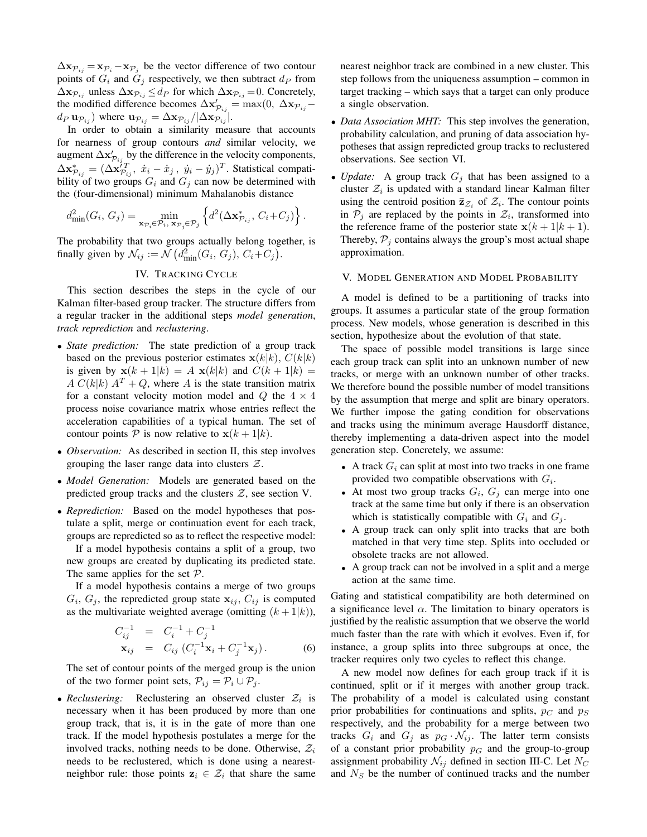$\Delta \mathbf{x}_{\mathcal{P}_{ij}} = \mathbf{x}_{\mathcal{P}_{i}} - \mathbf{x}_{\mathcal{P}_{j}}$  be the vector difference of two contour points of  $G_i$  and  $G_j$  respectively, we then subtract  $d_P$  from  $\Delta \mathbf{x}_{\mathcal{P}_{ij}}$  unless  $\Delta \mathbf{x}_{\mathcal{P}_{ij}} \leq d_P$  for which  $\Delta \mathbf{x}_{\mathcal{P}_{ij}} = 0$ . Concretely, the modified difference becomes  $\Delta \mathbf{x}'_{\mathcal{P}_{ij}} = \max(0, \ \Delta \mathbf{x}_{\mathcal{P}_{ij}}$  $d_P$  **u** $_{\mathcal{P}_{ij}}$ ) where  $\mathbf{u}_{\mathcal{P}_{ij}} = \Delta \mathbf{x}_{\mathcal{P}_{ij}} / |\Delta \mathbf{x}_{\mathcal{P}_{ij}}|$ .

In order to obtain a similarity measure that accounts for nearness of group contours *and* similar velocity, we augment  $\Delta \mathbf{x}'_{\mathcal{P}_{ij}}$  by the difference in the velocity components,  $\Delta \mathbf{x}_{\mathcal{P}_{ij}}^* = (\Delta \mathbf{x}_{\mathcal{P}_{ij}}^{iT}, \dot{x}_i - \dot{x}_j, \dot{y}_i - \dot{y}_j)^T$ . Statistical compatibility of two groups  $G_i$  and  $G_j$  can now be determined with the (four-dimensional) minimum Mahalanobis distance

$$
d_{\min}^2(G_i, G_j) = \min_{\mathbf{x}_{\mathcal{P}_i} \in \mathcal{P}_i, \mathbf{x}_{\mathcal{P}_j} \in \mathcal{P}_j} \left\{ d^2(\Delta \mathbf{x}_{\mathcal{P}_{ij}}^*, C_i + C_j) \right\}.
$$

The probability that two groups actually belong together, is finally given by  $\mathcal{N}_{ij} := \mathcal{N} \left( d_{\min}^2(G_i, G_j), C_i + C_j \right)$ .

# IV. TRACKING CYCLE

This section describes the steps in the cycle of our Kalman filter-based group tracker. The structure differs from a regular tracker in the additional steps *model generation*, *track reprediction* and *reclustering*.

- *State prediction:* The state prediction of a group track based on the previous posterior estimates  $\mathbf{x}(k|k)$ ,  $C(k|k)$ is given by  $\mathbf{x}(k+1|k) = A \mathbf{x}(k|k)$  and  $C(k+1|k) =$  $A C(k|k) A<sup>T</sup> + Q$ , where A is the state transition matrix for a constant velocity motion model and  $Q$  the  $4 \times 4$ process noise covariance matrix whose entries reflect the acceleration capabilities of a typical human. The set of contour points  $P$  is now relative to  $\mathbf{x}(k+1|k)$ .
- *Observation:* As described in section II, this step involves grouping the laser range data into clusters  $Z$ .
- *Model Generation:* Models are generated based on the predicted group tracks and the clusters  $Z$ , see section V.
- *Reprediction:* Based on the model hypotheses that postulate a split, merge or continuation event for each track, groups are repredicted so as to reflect the respective model:

If a model hypothesis contains a split of a group, two new groups are created by duplicating its predicted state. The same applies for the set  $P$ .

If a model hypothesis contains a merge of two groups  $G_i$ ,  $G_j$ , the repredicted group state  $x_{ij}$ ,  $C_{ij}$  is computed as the multivariate weighted average (omitting  $(k+1|k)$ ),

$$
C_{ij}^{-1} = C_i^{-1} + C_j^{-1}
$$
  

$$
\mathbf{x}_{ij} = C_{ij} (C_i^{-1} \mathbf{x}_i + C_j^{-1} \mathbf{x}_j).
$$
 (6)

The set of contour points of the merged group is the union of the two former point sets,  $\mathcal{P}_{ij} = \mathcal{P}_i \cup \mathcal{P}_j$ .

• *Reclustering:* Reclustering an observed cluster  $Z_i$  is necessary when it has been produced by more than one group track, that is, it is in the gate of more than one track. If the model hypothesis postulates a merge for the involved tracks, nothing needs to be done. Otherwise,  $\mathcal{Z}_i$ needs to be reclustered, which is done using a nearestneighbor rule: those points  $z_i \in \mathcal{Z}_i$  that share the same

nearest neighbor track are combined in a new cluster. This step follows from the uniqueness assumption – common in target tracking – which says that a target can only produce a single observation.

- *Data Association MHT:* This step involves the generation, probability calculation, and pruning of data association hypotheses that assign repredicted group tracks to reclustered observations. See section VI.
- *Update:* A group track  $G_i$  that has been assigned to a cluster  $\mathcal{Z}_i$  is updated with a standard linear Kalman filter using the centroid position  $\overline{\mathbf{z}}_{z_i}$  of  $\mathcal{Z}_i$ . The contour points in  $P_j$  are replaced by the points in  $\mathcal{Z}_i$ , transformed into the reference frame of the posterior state  $x(k + 1|k + 1)$ . Thereby,  $P_i$  contains always the group's most actual shape approximation.

#### V. MODEL GENERATION AND MODEL PROBABILITY

A model is defined to be a partitioning of tracks into groups. It assumes a particular state of the group formation process. New models, whose generation is described in this section, hypothesize about the evolution of that state.

The space of possible model transitions is large since each group track can split into an unknown number of new tracks, or merge with an unknown number of other tracks. We therefore bound the possible number of model transitions by the assumption that merge and split are binary operators. We further impose the gating condition for observations and tracks using the minimum average Hausdorff distance, thereby implementing a data-driven aspect into the model generation step. Concretely, we assume:

- A track  $G_i$  can split at most into two tracks in one frame provided two compatible observations with  $G_i$ .
- At most two group tracks  $G_i$ ,  $G_j$  can merge into one track at the same time but only if there is an observation which is statistically compatible with  $G_i$  and  $G_j$ .
- A group track can only split into tracks that are both matched in that very time step. Splits into occluded or obsolete tracks are not allowed.
- A group track can not be involved in a split and a merge action at the same time.

Gating and statistical compatibility are both determined on a significance level  $\alpha$ . The limitation to binary operators is justified by the realistic assumption that we observe the world much faster than the rate with which it evolves. Even if, for instance, a group splits into three subgroups at once, the tracker requires only two cycles to reflect this change.

A new model now defines for each group track if it is continued, split or if it merges with another group track. The probability of a model is calculated using constant prior probabilities for continuations and splits,  $p_C$  and  $p_S$ respectively, and the probability for a merge between two tracks  $G_i$  and  $G_j$  as  $p_G \cdot \mathcal{N}_{ij}$ . The latter term consists of a constant prior probability  $p<sub>G</sub>$  and the group-to-group assignment probability  $\mathcal{N}_{ij}$  defined in section III-C. Let  $N_C$ and  $N<sub>S</sub>$  be the number of continued tracks and the number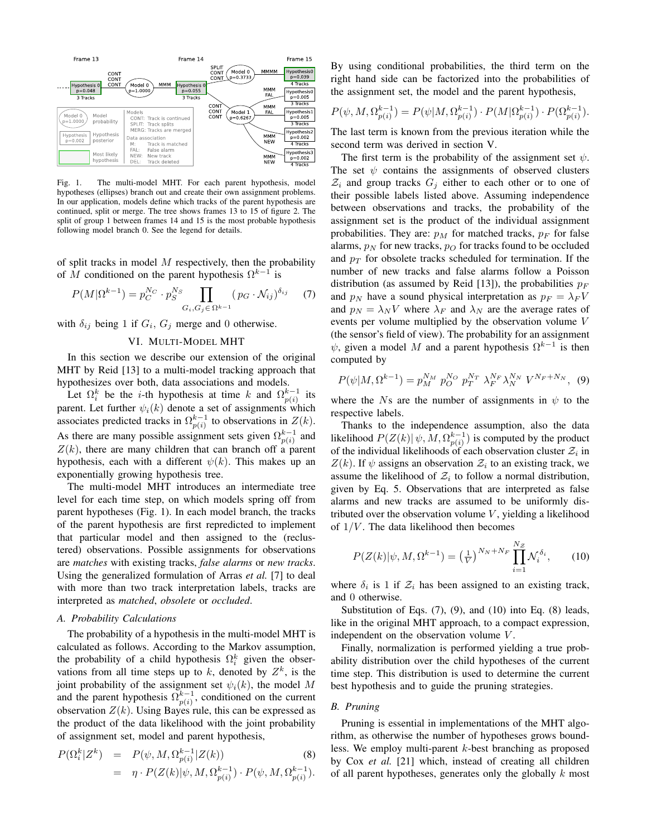

Fig. 1. The multi-model MHT. For each parent hypothesis, model hypotheses (ellipses) branch out and create their own assignment problems. In our application, models define which tracks of the parent hypothesis are continued, split or merge. The tree shows frames 13 to 15 of figure 2. The split of group 1 between frames 14 and 15 is the most probable hypothesis following model branch 0. See the legend for details.

of split tracks in model  $M$  respectively, then the probability of M conditioned on the parent hypothesis  $\Omega^{k-1}$  is

$$
P(M|\Omega^{k-1}) = p_C^{N_C} \cdot p_S^{N_S} \prod_{G_i, G_j \in \Omega^{k-1}} (p_G \cdot \mathcal{N}_{ij})^{\delta_{ij}} \tag{7}
$$

with  $\delta_{ij}$  being 1 if  $G_i$ ,  $G_j$  merge and 0 otherwise.

# VI. MULTI-MODEL MHT

In this section we describe our extension of the original MHT by Reid [13] to a multi-model tracking approach that hypothesizes over both, data associations and models.

Let  $\Omega_i^k$  be the *i*-th hypothesis at time k and  $\Omega_{p(i)}^{k-1}$  its parent. Let further  $\psi_i(k)$  denote a set of assignments which associates predicted tracks in  $\Omega_{p(i)}^{k-1}$  to observations in  $Z(k)$ . As there are many possible assignment sets given  $\Omega_{p(i)}^{k-1}$  and  $Z(k)$ , there are many children that can branch off a parent hypothesis, each with a different  $\psi(k)$ . This makes up an exponentially growing hypothesis tree.

The multi-model MHT introduces an intermediate tree level for each time step, on which models spring off from parent hypotheses (Fig. 1). In each model branch, the tracks of the parent hypothesis are first repredicted to implement that particular model and then assigned to the (reclustered) observations. Possible assignments for observations are *matches* with existing tracks, *false alarms* or *new tracks*. Using the generalized formulation of Arras *et al.* [7] to deal with more than two track interpretation labels, tracks are interpreted as *matched*, *obsolete* or *occluded*.

#### *A. Probability Calculations*

The probability of a hypothesis in the multi-model MHT is calculated as follows. According to the Markov assumption, the probability of a child hypothesis  $\Omega_i^k$  given the observations from all time steps up to  $k$ , denoted by  $Z^k$ , is the joint probability of the assignment set  $\psi_i(k)$ , the model M and the parent hypothesis  $\Omega_{p(i)}^{k-1}$ , conditioned on the current observation  $Z(k)$ . Using Bayes rule, this can be expressed as the product of the data likelihood with the joint probability of assignment set, model and parent hypothesis,

$$
P(\Omega_i^k | Z^k) = P(\psi, M, \Omega_{p(i)}^{k-1} | Z(k))
$$
\n
$$
= \eta \cdot P(Z(k) | \psi, M, \Omega_{p(i)}^{k-1}) \cdot P(\psi, M, \Omega_{p(i)}^{k-1}).
$$
\n(8)

By using conditional probabilities, the third term on the right hand side can be factorized into the probabilities of the assignment set, the model and the parent hypothesis,

$$
P(\psi, M, \Omega_{p(i)}^{k-1}) = P(\psi | M, \Omega_{p(i)}^{k-1}) \cdot P(M | \Omega_{p(i)}^{k-1}) \cdot P(\Omega_{p(i)}^{k-1}).
$$

The last term is known from the previous iteration while the second term was derived in section V.

The first term is the probability of the assignment set  $\psi$ . The set  $\psi$  contains the assignments of observed clusters  $\mathcal{Z}_i$  and group tracks  $G_i$  either to each other or to one of their possible labels listed above. Assuming independence between observations and tracks, the probability of the assignment set is the product of the individual assignment probabilities. They are:  $p_M$  for matched tracks,  $p_F$  for false alarms,  $p_N$  for new tracks,  $p_O$  for tracks found to be occluded and  $p_T$  for obsolete tracks scheduled for termination. If the number of new tracks and false alarms follow a Poisson distribution (as assumed by Reid [13]), the probabilities  $p_F$ and  $p_N$  have a sound physical interpretation as  $p_F = \lambda_F V$ and  $p_N = \lambda_N V$  where  $\lambda_F$  and  $\lambda_N$  are the average rates of events per volume multiplied by the observation volume V (the sensor's field of view). The probability for an assignment  $\psi$ , given a model M and a parent hypothesis  $\Omega^{k-1}$  is then computed by

$$
P(\psi|M,\Omega^{k-1}) = p_M^{N_M} p_O^{N_O} p_T^{N_T} \lambda_F^{N_F} \lambda_N^{N_N} V^{N_F + N_N}, \quad (9)
$$

where the Ns are the number of assignments in  $\psi$  to the respective labels.

Thanks to the independence assumption, also the data likelihood  $P(Z(k)| \psi, M, \Omega_{p(i)}^{k-1})$  is computed by the product of the individual likelihoods of each observation cluster  $\mathcal{Z}_i$  in  $Z(k)$ . If  $\psi$  assigns an observation  $\mathcal{Z}_i$  to an existing track, we assume the likelihood of  $\mathcal{Z}_i$  to follow a normal distribution, given by Eq. 5. Observations that are interpreted as false alarms and new tracks are assumed to be uniformly distributed over the observation volume  $V$ , yielding a likelihood of  $1/V$ . The data likelihood then becomes

$$
P(Z(k)|\psi, M, \Omega^{k-1}) = \left(\frac{1}{V}\right)^{N_N + N_F} \prod_{i=1}^{N_Z} \mathcal{N}_i^{\delta_i},\qquad(10)
$$

where  $\delta_i$  is 1 if  $\mathcal{Z}_i$  has been assigned to an existing track, and 0 otherwise.

Substitution of Eqs. (7), (9), and (10) into Eq. (8) leads, like in the original MHT approach, to a compact expression, independent on the observation volume V.

Finally, normalization is performed yielding a true probability distribution over the child hypotheses of the current time step. This distribution is used to determine the current best hypothesis and to guide the pruning strategies.

#### *B. Pruning*

Pruning is essential in implementations of the MHT algorithm, as otherwise the number of hypotheses grows boundless. We employ multi-parent k-best branching as proposed by Cox *et al.* [21] which, instead of creating all children of all parent hypotheses, generates only the globally k most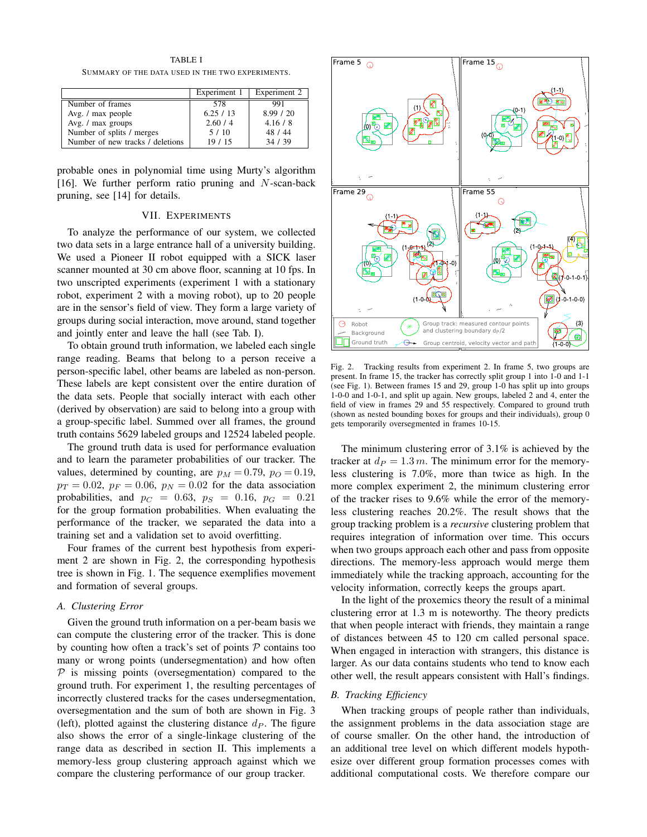TABLE I SUMMARY OF THE DATA USED IN THE TWO EXPERIMENTS.

|                                  | Experiment 1 | Experiment 2 |
|----------------------------------|--------------|--------------|
| Number of frames                 | 578          | 991          |
| Avg. / max people                | 6.25/13      | 8.99 / 20    |
| Avg. / max groups                | 2.60/4       | 4.16/8       |
| Number of splits / merges        | 5/10         | 48 / 44      |
| Number of new tracks / deletions | 19/15        | 34/39        |

probable ones in polynomial time using Murty's algorithm [16]. We further perform ratio pruning and  $N$ -scan-back pruning, see [14] for details.

### VII. EXPERIMENTS

To analyze the performance of our system, we collected two data sets in a large entrance hall of a university building. We used a Pioneer II robot equipped with a SICK laser scanner mounted at 30 cm above floor, scanning at 10 fps. In two unscripted experiments (experiment 1 with a stationary robot, experiment 2 with a moving robot), up to 20 people are in the sensor's field of view. They form a large variety of groups during social interaction, move around, stand together and jointly enter and leave the hall (see Tab. I).

To obtain ground truth information, we labeled each single range reading. Beams that belong to a person receive a person-specific label, other beams are labeled as non-person. These labels are kept consistent over the entire duration of the data sets. People that socially interact with each other (derived by observation) are said to belong into a group with a group-specific label. Summed over all frames, the ground truth contains 5629 labeled groups and 12524 labeled people.

The ground truth data is used for performance evaluation and to learn the parameter probabilities of our tracker. The values, determined by counting, are  $p_M = 0.79$ ,  $p_O = 0.19$ ,  $p_T = 0.02$ ,  $p_F = 0.06$ ,  $p_N = 0.02$  for the data association probabilities, and  $p_C = 0.63$ ,  $p_S = 0.16$ ,  $p_G = 0.21$ for the group formation probabilities. When evaluating the performance of the tracker, we separated the data into a training set and a validation set to avoid overfitting.

Four frames of the current best hypothesis from experiment 2 are shown in Fig. 2, the corresponding hypothesis tree is shown in Fig. 1. The sequence exemplifies movement and formation of several groups.

# *A. Clustering Error*

Given the ground truth information on a per-beam basis we can compute the clustering error of the tracker. This is done by counting how often a track's set of points  $P$  contains too many or wrong points (undersegmentation) and how often  $P$  is missing points (oversegmentation) compared to the ground truth. For experiment 1, the resulting percentages of incorrectly clustered tracks for the cases undersegmentation, oversegmentation and the sum of both are shown in Fig. 3 (left), plotted against the clustering distance  $d<sub>P</sub>$ . The figure also shows the error of a single-linkage clustering of the range data as described in section II. This implements a memory-less group clustering approach against which we compare the clustering performance of our group tracker.



Fig. 2. Tracking results from experiment 2. In frame 5, two groups are present. In frame 15, the tracker has correctly split group 1 into 1-0 and 1-1 (see Fig. 1). Between frames 15 and 29, group 1-0 has split up into groups 1-0-0 and 1-0-1, and split up again. New groups, labeled 2 and 4, enter the field of view in frames 29 and 55 respectively. Compared to ground truth (shown as nested bounding boxes for groups and their individuals), group 0 gets temporarily oversegmented in frames 10-15.

The minimum clustering error of 3.1% is achieved by the tracker at  $d_P = 1.3$  m. The minimum error for the memoryless clustering is 7.0%, more than twice as high. In the more complex experiment 2, the minimum clustering error of the tracker rises to 9.6% while the error of the memoryless clustering reaches 20.2%. The result shows that the group tracking problem is a *recursive* clustering problem that requires integration of information over time. This occurs when two groups approach each other and pass from opposite directions. The memory-less approach would merge them immediately while the tracking approach, accounting for the velocity information, correctly keeps the groups apart.

In the light of the proxemics theory the result of a minimal clustering error at 1.3 m is noteworthy. The theory predicts that when people interact with friends, they maintain a range of distances between 45 to 120 cm called personal space. When engaged in interaction with strangers, this distance is larger. As our data contains students who tend to know each other well, the result appears consistent with Hall's findings.

#### *B. Tracking Efficiency*

When tracking groups of people rather than individuals, the assignment problems in the data association stage are of course smaller. On the other hand, the introduction of an additional tree level on which different models hypothesize over different group formation processes comes with additional computational costs. We therefore compare our